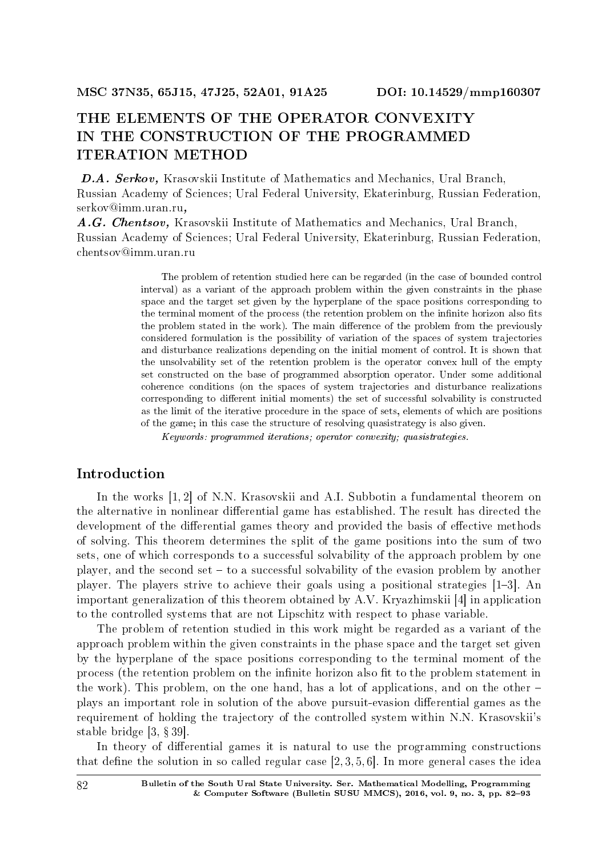# THE ELEMENTS OF THE OPERATOR CONVEXITY IN THE CONSTRUCTION OF THE PROGRAMMED ITERATION METHOD

D.A. Serkov, Krasovskii Institute of Mathematics and Mechanics, Ural Branch, Russian Academy of Sciences; Ural Federal University, Ekaterinburg, Russian Federation, serkov@imm.uran.ru,

A.G. Chentsov, Krasovskii Institute of Mathematics and Mechanics, Ural Branch, Russian Academy of Sciences; Ural Federal University, Ekaterinburg, Russian Federation, chentsov@imm.uran.ru

> The problem of retention studied here can be regarded (in the case of bounded control interval) as a variant of the approach problem within the given constraints in the phase space and the target set given by the hyperplane of the space positions corresponding to the terminal moment of the process (the retention problem on the infinite horizon also fits the problem stated in the work). The main difference of the problem from the previously considered formulation is the possibility of variation of the spaces of system trajectories and disturbance realizations depending on the initial moment of control. It is shown that the unsolvability set of the retention problem is the operator convex hull of the empty set constructed on the base of programmed absorption operator. Under some additional coherence conditions (on the spaces of system trajectories and disturbance realizations corresponding to different initial moments) the set of successful solvability is constructed as the limit of the iterative procedure in the space of sets, elements of which are positions of the game; in this case the structure of resolving quasistrategy is also given.

Keywords: programmed iterations; operator convexity; quasistrategies.

## Introduction

In the works [1, 2] of N.N. Krasovskii and A.I. Subbotin a fundamental theorem on the alternative in nonlinear differential game has established. The result has directed the development of the differential games theory and provided the basis of effective methods of solving. This theorem determines the split of the game positions into the sum of two sets, one of which corresponds to a successful solvability of the approach problem by one player, and the second set  $-$  to a successful solvability of the evasion problem by another player. The players strive to achieve their goals using a positional strategies  $[1-3]$ . An important generalization of this theorem obtained by A.V. Kryazhimskii [4] in application to the controlled systems that are not Lipschitz with respect to phase variable.

The problem of retention studied in this work might be regarded as a variant of the approach problem within the given constraints in the phase space and the target set given by the hyperplane of the space positions corresponding to the terminal moment of the process (the retention problem on the infinite horizon also fit to the problem statement in the work). This problem, on the one hand, has a lot of applications, and on the other plays an important role in solution of the above pursuit-evasion differential games as the requirement of holding the trajectory of the controlled system within N.N. Krasovskii's stable bridge  $[3, §39]$ .

In theory of differential games it is natural to use the programming constructions that define the solution in so called regular case  $[2, 3, 5, 6]$ . In more general cases the idea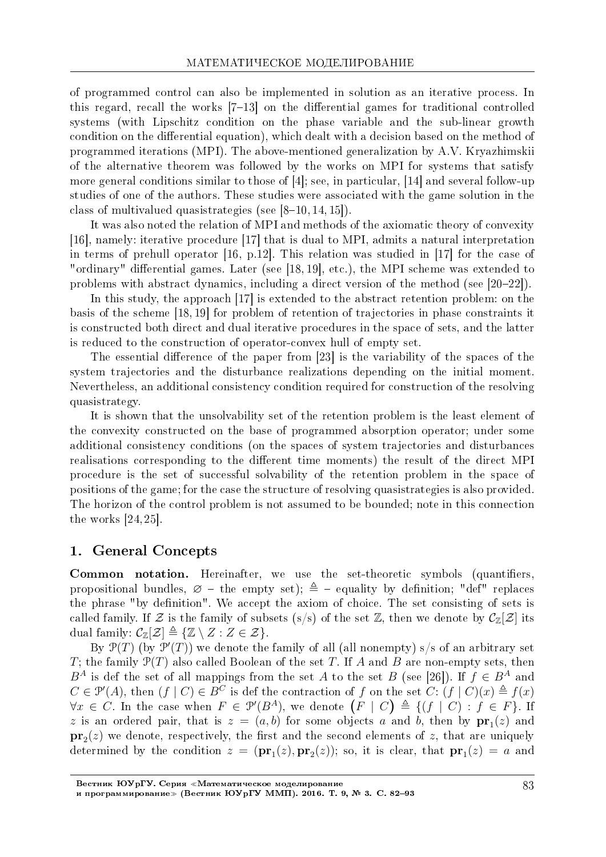of programmed control can also be implemented in solution as an iterative process. In this regard, recall the works  $[7-13]$  on the differential games for traditional controlled systems (with Lipschitz condition on the phase variable and the sub-linear growth condition on the differential equation), which dealt with a decision based on the method of programmed iterations (MPI). The above-mentioned generalization by A.V. Kryazhimskii of the alternative theorem was followed by the works on MPI for systems that satisfy more general conditions similar to those of [4]; see, in particular, [14] and several follow-up studies of one of the authors. These studies were associated with the game solution in the class of multivalued quasistrategies (see  $[8-10, 14, 15]$ ).

It was also noted the relation of MPI and methods of the axiomatic theory of convexity [16], namely: iterative procedure [17] that is dual to MPI, admits a natural interpretation in terms of prehull operator [16, p.12]. This relation was studied in [17] for the case of "ordinary" differential games. Later (see [18, 19], etc.), the MPI scheme was extended to problems with abstract dynamics, including a direct version of the method (see  $[20-22]$ ).

In this study, the approach [17] is extended to the abstract retention problem: on the basis of the scheme [18, 19] for problem of retention of trajectories in phase constraints it is constructed both direct and dual iterative procedures in the space of sets, and the latter is reduced to the construction of operator-convex hull of empty set.

The essential difference of the paper from  $[23]$  is the variability of the spaces of the system trajectories and the disturbance realizations depending on the initial moment. Nevertheless, an additional consistency condition required for construction of the resolving quasistrategy.

It is shown that the unsolvability set of the retention problem is the least element of the convexity constructed on the base of programmed absorption operator; under some additional consistency conditions (on the spaces of system trajectories and disturbances realisations corresponding to the different time moments) the result of the direct MPI procedure is the set of successful solvability of the retention problem in the space of positions of the game; for the case the structure of resolving quasistrategies is also provided. The horizon of the control problem is not assumed to be bounded; note in this connection the works [24, 25].

## 1. General Concepts

Common notation. Hereinafter, we use the set-theoretic symbols (quantifiers, propositional bundles,  $\varnothing$  - the empty set);  $\triangleq$  - equality by definition; "def" replaces the phrase "by definition". We accept the axiom of choice. The set consisting of sets is called family. If  $\mathcal Z$  is the family of subsets (s/s) of the set  $\mathbb Z$ , then we denote by  $\mathcal C_{\mathbb Z}[\mathcal Z]$  its dual family:  $\mathcal{C}_{\mathbb{Z}}[\mathcal{Z}] \triangleq {\mathbb{Z} \setminus Z : Z \in \mathcal{Z}}$ .

By  $\mathcal{P}(T)$  (by  $\mathcal{P}'(T)$ ) we denote the family of all (all nonempty) s/s of an arbitrary set *T*; the family P(*T*) also called Boolean of the set *T*. If *A* and *B* are non-empty sets, then *B*<sup>*A*</sup> is def the set of all mappings from the set *A* to the set *B* (see [26]). If  $f \in B^A$  and  $C \in \mathcal{P}'(A)$ , then  $(f \mid C) \in B^C$  is def the contraction of *f* on the set  $C: (f \mid C)(x) \triangleq f(x)$ *∀x* ∈ *C*. In the case when  $F ∈ \mathcal{P}'(B^A)$ , we denote  $(F | C) \triangleq \{(f | C) : f \in F\}$ . If *z* is an ordered pair, that is  $z = (a, b)$  for some objects *a* and *b*, then by  $pr_1(z)$  and  $\mathbf{pr}_2(z)$  we denote, respectively, the first and the second elements of *z*, that are uniquely determined by the condition  $z = (\mathbf{pr}_1(z), \mathbf{pr}_2(z))$ ; so, it is clear, that  $\mathbf{pr}_1(z) = a$  and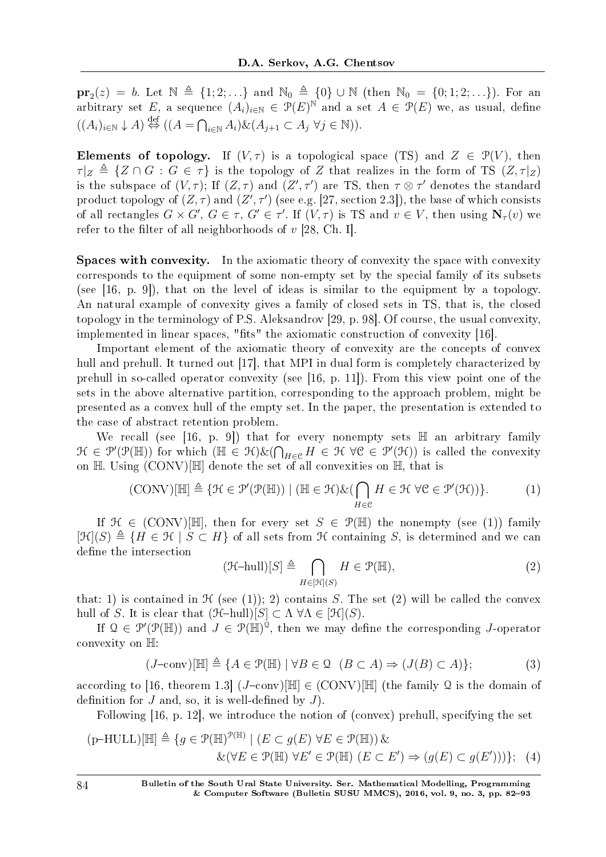**pr**<sub>2</sub>(*z*) = *b*. Let  $\mathbb{N}$   $\triangleq$  {1; 2; . . .} and  $\mathbb{N}_0$   $\triangleq$  {0} ∪  $\mathbb{N}$  (then  $\mathbb{N}_0$  = {0; 1; 2; . . .}). For an arbitrary set *E*, a sequence  $(A_i)_{i\in\mathbb{N}}\in \mathcal{P}(E)^\mathbb{N}$  and a set  $A\in \mathcal{P}(E)$  we, as usual, define  $((A_i)_{i \in \mathbb{N}} \downarrow A) \stackrel{\text{def}}{\Leftrightarrow} ((A = \bigcap_{i \in \mathbb{N}} A_i) \& (A_{j+1} \subset A_j \ \forall j \in \mathbb{N})).$ 

Elements of topology. If  $(V, \tau)$  is a topological space (TS) and  $Z \in \mathcal{P}(V)$ , then  $\tau|_Z \triangleq \{Z \cap G : G \in \tau\}$  is the topology of *Z* that realizes in the form of TS  $(Z, \tau|_Z)$ is the subspace of  $(V, \tau)$ ; If  $(Z, \tau)$  and  $(Z', \tau')$  are TS, then  $\tau \otimes \tau'$  denotes the standard product topology of  $(Z, \tau)$  and  $(Z', \tau')$  (see e.g. [27, section 2.3]), the base of which consists of all rectangles  $G \times G'$ ,  $G \in \tau$ ,  $G' \in \tau'$ . If  $(V, \tau)$  is TS and  $v \in V$ , then using  $N_{\tau}(v)$  we refer to the filter of all neighborhoods of  $v$  [28, Ch. I].

Spaces with convexity. In the axiomatic theory of convexity the space with convexity corresponds to the equipment of some non-empty set by the special family of its subsets (see [16, p. 9]), that on the level of ideas is similar to the equipment by a topology. An natural example of convexity gives a family of closed sets in TS, that is, the closed topology in the terminology of P.S. Aleksandrov [29, p. 98]. Of course, the usual convexity, implemented in linear spaces, "fits" the axiomatic construction of convexity  $[16]$ .

Important element of the axiomatic theory of convexity are the concepts of convex hull and prehull. It turned out [17], that MPI in dual form is completely characterized by prehull in so-called operator convexity (see [16, p. 11]). From this view point one of the sets in the above alternative partition, corresponding to the approach problem, might be presented as a convex hull of the empty set. In the paper, the presentation is extended to the case of abstract retention problem.

We recall (see [16, p. 9]) that for every nonempty sets  $\mathbb H$  an arbitrary family  $\mathcal{H} \in \mathcal{P}'(\mathcal{P}(\mathbb{H}))$  for which  $(\mathbb{H} \in \mathcal{H})\&(\bigcap_{H \in \mathcal{C}} H \in \mathcal{H} \ \forall \mathcal{C} \in \mathcal{P}'(\mathcal{H}))$  is called the convexity on  $\mathbb H$ . Using  $(CONV)[\mathbb H]$  denote the set of all convexities on  $\mathbb H$ , that is

$$
(\text{CONV})[\mathbb{H}] \triangleq \{ \mathcal{H} \in \mathcal{P}'(\mathcal{P}(\mathbb{H})) \mid (\mathbb{H} \in \mathcal{H}) \& (\bigcap_{H \in \mathcal{C}} H \in \mathcal{H} \ \forall \mathcal{C} \in \mathcal{P}'(\mathcal{H})) \}.
$$
 (1)

If  $\mathcal{H} \in (CONV)[\mathbb{H}]$ , then for every set  $S \in \mathcal{P}(\mathbb{H})$  the nonempty (see (1)) family  $[\mathfrak{H}(S) \triangleq \{H \in \mathfrak{K} \mid S \subset H\}$  of all sets from  $\mathfrak{K}$  containing *S*, is determined and we can define the intersection

$$
(\mathcal{H}\text{-hull})[S] \triangleq \bigcap_{H \in [\mathcal{H}](S)} H \in \mathcal{P}(\mathbb{H}),\tag{2}
$$

that: 1) is contained in  $\mathcal H$  (see (1)); 2) contains *S*. The set (2) will be called the convex hull of *S*. It is clear that  $(\mathcal{H}-hull)[S] \subset \Lambda \ \forall \Lambda \in [\mathcal{H}](S)$ .

If  $\mathcal{Q} \in \mathcal{P}'(\mathcal{P}(\mathbb{H}))$  and  $J \in \mathcal{P}(\mathbb{H})^{\mathcal{Q}}$ , then we may define the corresponding *J*-operator convexity on H:

$$
(J-\text{conv})[\mathbb{H}] \triangleq \{A \in \mathcal{P}(\mathbb{H}) \mid \forall B \in \mathcal{Q} \ (B \subset A) \Rightarrow (J(B) \subset A)\};\tag{3}
$$

according to [16, theorem 1.3]  $(J-\text{conv})[\mathbb{H}] \in (CONV)[\mathbb{H}]$  (the family Q is the domain of definition for  $J$  and, so, it is well-defined by  $J$ ).

Following [16, p. 12], we introduce the notion of (convex) prehull, specifying the set

$$
(p-HULL)[\mathbb{H}] \triangleq \{ g \in \mathcal{P}(\mathbb{H})^{\mathcal{P}(\mathbb{H})} \mid (E \subset g(E) \,\forall E \in \mathcal{P}(\mathbb{H})) \,\&\{k(\forall E \in \mathcal{P}(\mathbb{H}) \,\forall E' \in \mathcal{P}(\mathbb{H}) \,(E \subset E') \Rightarrow (g(E) \subset g(E')))\};\tag{4}
$$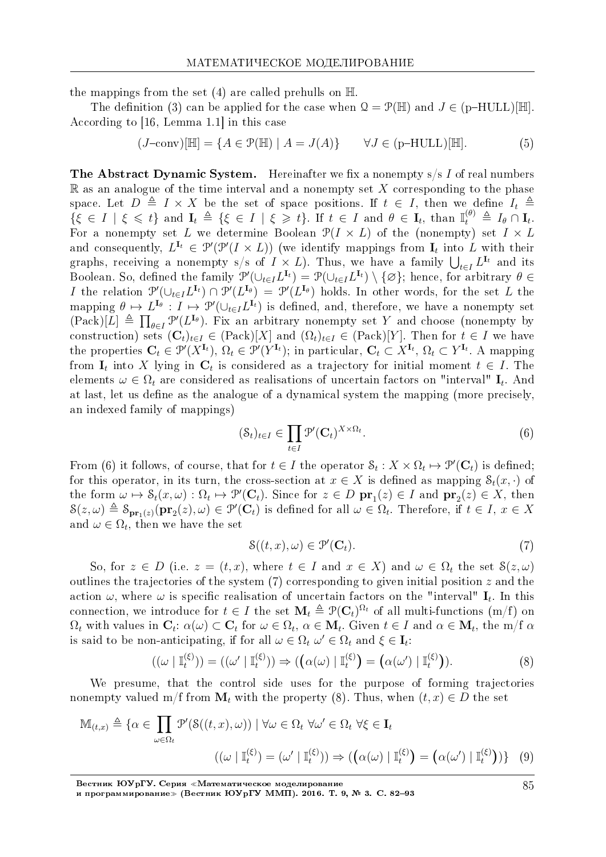the mappings from the set (4) are called prehulls on  $\mathbb H$ 

The definition (3) can be applied for the case when  $Q = \mathcal{P}(\mathbb{H})$  and  $J \in (p-HULL)[\mathbb{H}]$ . According to [16, Lemma 1.1] in this case

$$
(J-\text{conv})[\mathbb{H}] = \{ A \in \mathcal{P}(\mathbb{H}) \mid A = J(A) \} \qquad \forall J \in (\text{p-HULL})[\mathbb{H}]. \tag{5}
$$

**The Abstract Dynamic System.** Hereinafter we fix a nonempty s/s I of real numbers R as an analogue of the time interval and a nonempty set *X* corresponding to the phase space. Let  $D \triangleq I \times X$  be the set of space positions. If  $t \in I$ , then we define  $I_t \triangleq$  $\{\xi \in I \mid \xi \leq t\}$  and  $\mathbf{I}_t \triangleq \{\xi \in I \mid \xi \geq t\}$ . If  $t \in I$  and  $\theta \in \mathbf{I}_t$ , than  $\mathbb{I}_t^{(\theta)} \triangleq I_\theta \cap \mathbf{I}_t$ . For a nonempty set *L* we determine Boolean  $\mathcal{P}(I \times L)$  of the (nonempty) set  $I \times L$ and consequently,  $L^{I_t} \in \mathcal{P}'(\mathcal{P}'(I \times L))$  (we identify mappings from  $I_t$  into L with their graphs, receiving a nonempty s/s of  $I \times L$ ). Thus, we have a family  $\bigcup_{t \in I} L^{I_t}$  and its Boolean. So, defined the family  $\mathcal{P}'(\cup_{t\in I} L^{I_t}) = \mathcal{P}(\cup_{t\in I} L^{I_t}) \setminus \{\varnothing\}$ ; hence, for arbitrary  $\theta \in$ I the relation  $\mathcal{P}'(\cup_{t\in I}L^{\mathbf{I}_t})\cap \mathcal{P}'(L^{\mathbf{I}_{\theta}})=\mathcal{P}'(L^{\mathbf{I}_{\theta}})$  holds. In other words, for the set L the mapping  $\theta \mapsto L^{I_{\theta}}: I \mapsto \mathcal{P}'(\cup_{t \in I} L^{I_t})$  is defined, and, therefore, we have a nonempty set  $(Pack)[L] \triangleq \prod_{\theta \in I} \mathcal{P}'(L^{I_{\theta}})$ . Fix an arbitrary nonempty set *Y* and choose (nonempty by construction) sets  $(\mathbf{C}_t)_{t \in I} \in (\text{Pack})[X]$  and  $(\Omega_t)_{t \in I} \in (\text{Pack})[Y]$ . Then for  $t \in I$  we have the properties  $C_t \in \mathcal{P}'(X^{\mathbf{I}_t}), \Omega_t \in \mathcal{P}'(Y^{\mathbf{I}_t})$ ; in particular,  $C_t \subset X^{\mathbf{I}_t}, \Omega_t \subset Y^{\mathbf{I}_t}$ . A mapping from  $\mathbf{I}_t$  into X lying in  $\mathbf{C}_t$  is considered as a trajectory for initial moment  $t \in I$ . The elements  $\omega \in \Omega_t$  are considered as realisations of uncertain factors on "interval"  $\mathbf{I}_t$ . And at last, let us define as the analogue of a dynamical system the mapping (more precisely, an indexed family of mappings)

$$
(\mathcal{S}_t)_{t \in I} \in \prod_{t \in I} \mathcal{P}'(\mathbf{C}_t)^{X \times \Omega_t}.
$$
 (6)

From (6) it follows, of course, that for  $t \in I$  the operator  $\mathcal{S}_t : X \times \Omega_t \mapsto \mathcal{P}'(\mathbf{C}_t)$  is defined; for this operator, in its turn, the cross-section at  $x \in X$  is defined as mapping  $\mathcal{S}_t(x, \cdot)$  of the form  $\omega \mapsto \mathcal{S}_t(x,\omega) : \Omega_t \mapsto \mathcal{P}'(\mathbf{C}_t)$ . Since for  $z \in D \mathbf{pr}_1(z) \in I$  and  $\mathbf{pr}_2(z) \in X$ , then  $\mathcal{S}(z,\omega) \triangleq \mathcal{S}_{\mathbf{pr}_1(z)}(\mathbf{pr}_2(z),\omega) \in \mathcal{P}'(\mathbf{C}_t)$  is defined for all  $\omega \in \Omega_t$ . Therefore, if  $t \in I, x \in X$ and  $\omega \in \Omega_t$ , then we have the set

$$
\mathcal{S}((t,x),\omega) \in \mathcal{P}'(\mathbf{C}_t). \tag{7}
$$

So, for  $z \in D$  (i.e.  $z = (t, x)$ , where  $t \in I$  and  $x \in X$ ) and  $\omega \in \Omega_t$  the set  $\mathcal{S}(z, \omega)$ outlines the trajectories of the system (7) corresponding to given initial position *z* and the action  $\omega$ , where  $\omega$  is specific realisation of uncertain factors on the "interval"  $\mathbf{I}_t$ . In this connection, we introduce for  $t \in I$  the set  $\mathbf{M}_t \triangleq \mathcal{P}(\mathbf{C}_t)^{\Omega_t}$  of all multi-functions  $(m/f)$  on  $\Omega_t$  with values in  $\mathbf{C}_t$ :  $\alpha(\omega) \subset \mathbf{C}_t$  for  $\omega \in \Omega_t$ ,  $\alpha \in \mathbf{M}_t$ . Given  $t \in I$  and  $\alpha \in \mathbf{M}_t$ , the m/f  $\alpha$ is said to be non-anticipating, if for all  $\omega \in \Omega_t$   $\omega' \in \Omega_t$  and  $\xi \in \mathbf{I}_t$ :

$$
((\omega \mid \mathbb{I}_t^{(\xi)})) = ((\omega' \mid \mathbb{I}_t^{(\xi)})) \Rightarrow ((\alpha(\omega) \mid \mathbb{I}_t^{(\xi)}) = (\alpha(\omega') \mid \mathbb{I}_t^{(\xi)})).
$$
\n(8)

We presume, that the control side uses for the purpose of forming trajectories nonempty valued m/f from  $\mathbf{M}_t$  with the property (8). Thus, when  $(t, x) \in D$  the set

$$
\mathbb{M}_{(t,x)} \triangleq \{ \alpha \in \prod_{\omega \in \Omega_t} \mathcal{P}'(\mathcal{S}((t,x),\omega)) \mid \forall \omega \in \Omega_t \ \forall \omega' \in \Omega_t \ \forall \xi \in \mathbf{I}_t
$$

$$
((\omega \mid \mathbb{I}_t^{(\xi)}) = (\omega' \mid \mathbb{I}_t^{(\xi)})) \Rightarrow ((\alpha(\omega) \mid \mathbb{I}_t^{(\xi)}) = (\alpha(\omega') \mid \mathbb{I}_t^{(\xi)})) \} \tag{9}
$$

Вестник ЮУрГУ. Серия «Математическое моделирование и программирование≫ (Вестник ЮУрГУ ММП). 2016. Т. 9, № 3. C. 82–93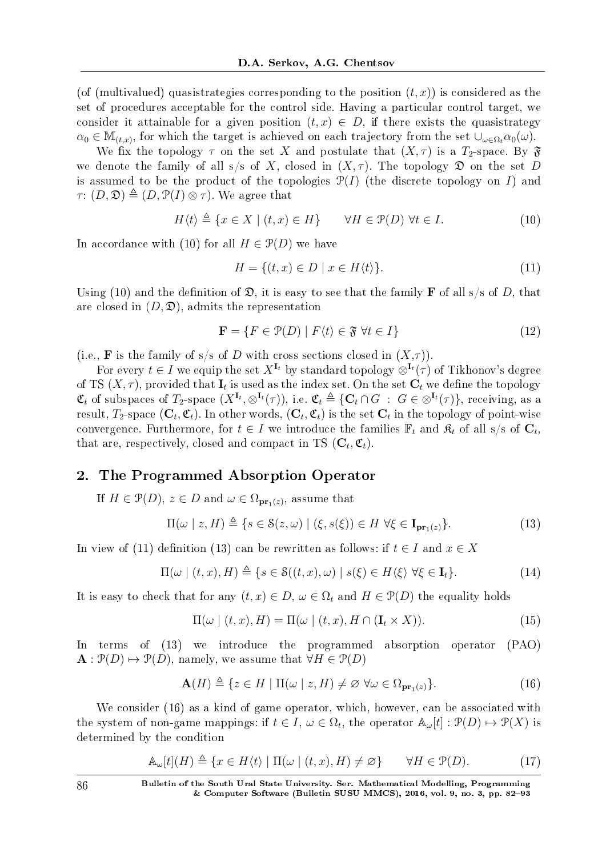(of (multivalued) quasistrategies corresponding to the position  $(t, x)$ ) is considered as the set of procedures acceptable for the control side. Having a particular control target, we consider it attainable for a given position  $(t, x) \in D$ , if there exists the quasistrategy  $\alpha_0 \in M_{(t,x)}$ , for which the target is achieved on each trajectory from the set  $\cup_{\omega \in \Omega_t} \alpha_0(\omega)$ .

We fix the topology  $\tau$  on the set X and postulate that  $(X, \tau)$  is a  $T_2$ -space. By  $\mathfrak{F}$ we denote the family of all s/s of X, closed in  $(X, \tau)$ . The topology  $\mathfrak D$  on the set D is assumed to be the product of the topologies  $\mathcal{P}(I)$  (the discrete topology on *I*) and  $\tau: (D, \mathfrak{D}) \triangleq (D, \mathfrak{P}(I) \otimes \tau)$ . We agree that

$$
H\langle t \rangle \triangleq \{x \in X \mid (t, x) \in H\} \qquad \forall H \in \mathcal{P}(D) \,\,\forall t \in I. \tag{10}
$$

In accordance with (10) for all  $H \in \mathcal{P}(D)$  we have

$$
H = \{(t, x) \in D \mid x \in H\langle t \rangle\}.
$$
\n
$$
(11)
$$

Using (10) and the definition of  $\mathfrak{D}$ , it is easy to see that the family **F** of all s/s of *D*, that are closed in  $(D, \mathcal{D})$ , admits the representation

$$
\mathbf{F} = \{ F \in \mathcal{P}(D) \mid F \langle t \rangle \in \mathfrak{F} \,\,\forall t \in I \}
$$
\n<sup>(12)</sup>

(i.e., **F** is the family of s/s of *D* with cross sections closed in  $(X,\tau)$ ).

For every  $t \in I$  we equip the set  $X^{I_t}$  by standard topology  $\otimes^{I_t}(\tau)$  of Tikhonov's degree of TS  $(X, \tau)$ , provided that  $\mathbf{I}_t$  is used as the index set. On the set  $\mathbf{C}_t$  we define the topology  $\mathfrak{C}_t$  of subspaces of  $T_2$ -space  $(X^{\mathbf{I}_t}, \otimes^{\mathbf{I}_t}(\tau))$ , i.e.  $\mathfrak{C}_t \triangleq \{\mathbf{C}_t \cap G \ : \ G \in \otimes^{\mathbf{I}_t}(\tau)\}\$ , receiving, as a result,  $T_2$ -space  $(\mathbf{C}_t, \mathfrak{C}_t)$ . In other words,  $(\mathbf{C}_t, \mathfrak{C}_t)$  is the set  $\mathbf{C}_t$  in the topology of point-wise convergence. Furthermore, for  $t \in I$  we introduce the families  $\mathbb{F}_t$  and  $\mathfrak{K}_t$  of all s/s of  $\mathbf{C}_t$ , that are, respectively, closed and compact in TS  $(C_t, \mathfrak{C}_t)$ .

## 2. The Programmed Absorption Operator

If  $H \in \mathcal{P}(D)$ ,  $z \in D$  and  $\omega \in \Omega_{\mathbf{pr}_1(z)}$ , assume that

$$
\Pi(\omega \mid z, H) \triangleq \{ s \in \mathcal{S}(z, \omega) \mid (\xi, s(\xi)) \in H \,\,\forall \xi \in \mathbf{I}_{\mathbf{pr}_1(z)} \}. \tag{13}
$$

In view of (11) definition (13) can be rewritten as follows: if  $t \in I$  and  $x \in X$ 

$$
\Pi(\omega \mid (t, x), H) \triangleq \{ s \in \mathcal{S}((t, x), \omega) \mid s(\xi) \in H \langle \xi \rangle \; \forall \xi \in \mathbf{I}_t \}. \tag{14}
$$

It is easy to check that for any  $(t, x) \in D$ ,  $\omega \in \Omega_t$  and  $H \in \mathcal{P}(D)$  the equality holds

$$
\Pi(\omega \mid (t, x), H) = \Pi(\omega \mid (t, x), H \cap (\mathbf{I}_t \times X)).
$$
\n(15)

In terms of (13) we introduce the programmed absorption operator (PAO)  $\mathbf{A}: \mathcal{P}(D) \mapsto \mathcal{P}(D)$ , namely, we assume that  $\forall H \in \mathcal{P}(D)$ 

$$
\mathbf{A}(H) \triangleq \{ z \in H \mid \Pi(\omega \mid z, H) \neq \varnothing \,\,\forall \omega \in \Omega_{\mathbf{pr}_1(z)} \}. \tag{16}
$$

We consider (16) as a kind of game operator, which, however, can be associated with the system of non-game mappings: if  $t \in I$ ,  $\omega \in \Omega_t$ , the operator  $\mathbb{A}_{\omega}[t]: \mathcal{P}(D) \mapsto \mathcal{P}(X)$  is determined by the condition

$$
\mathbb{A}_{\omega}[t](H) \triangleq \{x \in H\langle t \rangle \mid \Pi(\omega \mid (t, x), H) \neq \varnothing\} \qquad \forall H \in \mathcal{P}(D). \tag{17}
$$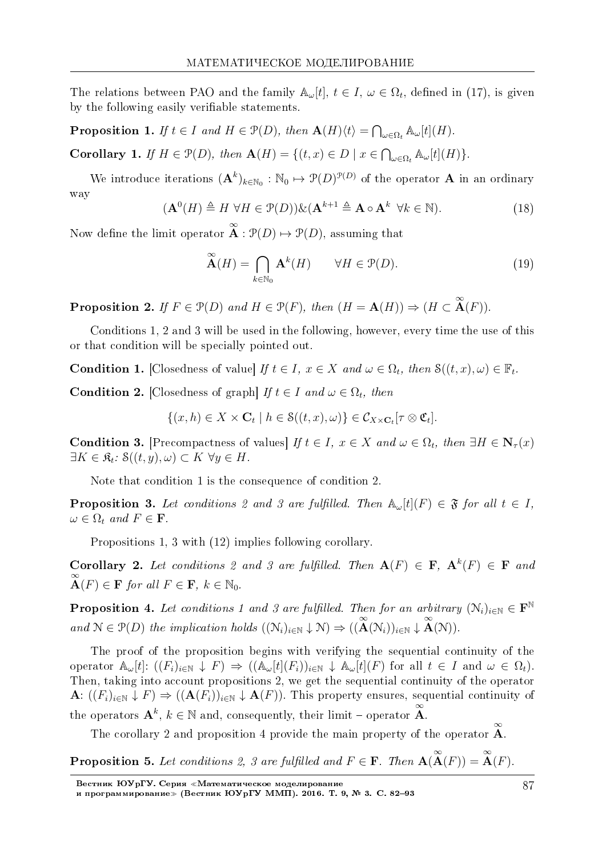The relations between PAO and the family  $\mathbb{A}_{\omega}[t], t \in I, \omega \in \Omega_t$ , defined in (17), is given by the following easily verifiable statements.

**Proposition 1.** If  $t \in I$  and  $H \in \mathcal{P}(D)$ , then  $\mathbf{A}(H)\langle t \rangle = \bigcap_{\omega \in \Omega_t} \mathbb{A}_{\omega}[t](H)$ .

Corollary 1. If  $H \in \mathcal{P}(D)$ , then  $\mathbf{A}(H) = \{(t, x) \in D \mid x \in \bigcap_{\omega \in \Omega_t} A_{\omega}[t](H)\}.$ 

We introduce iterations  $(A^k)_{k \in \mathbb{N}_0} : \mathbb{N}_0 \mapsto \mathcal{P}(D)^{\mathcal{P}(D)}$  of the operator **A** in an ordinary way

$$
\mathbf{A}^0(H) \triangleq H \ \forall H \in \mathcal{P}(D)\mathcal{K}(\mathbf{A}^{k+1} \triangleq \mathbf{A} \circ \mathbf{A}^k \ \forall k \in \mathbb{N}).\tag{18}
$$

Now define the limit operator  $\stackrel{\infty}{\mathbf{A}} : \mathcal{P}(D) \mapsto \mathcal{P}(D)$ , assuming that

(**A**<sup>0</sup>

$$
\widetilde{\mathbf{A}}(H) = \bigcap_{k \in \mathbb{N}_0} \mathbf{A}^k(H) \qquad \forall H \in \mathcal{P}(D). \tag{19}
$$

**Proposition 2.** If  $F \in \mathcal{P}(D)$  and  $H \in \mathcal{P}(F)$ , then  $(H = \mathbf{A}(H)) \Rightarrow (H \subset \mathbf{A}(F))$ .

Conditions 1, 2 and 3 will be used in the following, however, every time the use of this or that condition will be specially pointed out.

**Condition 1.** [Closedness of value] If  $t \in I$ ,  $x \in X$  and  $\omega \in \Omega_t$ , then  $S((t, x), \omega) \in \mathbb{F}_t$ .

**Condition 2.** [Closedness of graph] If  $t \in I$  and  $\omega \in \Omega_t$ , then

$$
\{(x,h)\in X\times\mathbf{C}_t\mid h\in\mathcal{S}((t,x),\omega)\}\in\mathcal{C}_{X\times\mathbf{C}_t}[\tau\otimes\mathfrak{C}_t].
$$

Condition 3. [Precompactness of values] If  $t \in I$ ,  $x \in X$  and  $\omega \in \Omega_t$ , then  $\exists H \in \mathbb{N}_{\tau}(x)$  $\exists K \in \mathfrak{K}_t$ :  $\mathfrak{S}((t, y), \omega) \subset K \ \forall y \in H$ .

Note that condition 1 is the consequence of condition 2.

**Proposition 3.** Let conditions 2 and 3 are fulfilled. Then  $\mathbb{A}_{\omega}[t](F) \in \mathfrak{F}$  for all  $t \in I$ ,  $\omega \in \Omega_t$  and  $F \in \mathbf{F}$ .

Propositions 1, 3 with (12) implies following corollary.

**Corollary 2.** Let conditions 2 and 3 are fulfilled. Then  $A(F) \in F$ ,  $A^k(F) \in F$  and  $\stackrel{\infty}{\mathbf{A}}(F) \in \mathbf{F}$  for all  $F \in \mathbf{F}$ ,  $k \in \mathbb{N}_0$ .

**Proposition 4.** Let conditions 1 and 3 are fulfilled. Then for an arbitrary  $(N_i)_{i\in\mathbb{N}}\in\mathbf{F}^{\mathbb{N}}$ and  $\mathcal{N} \in \mathcal{P}(D)$  the implication holds  $((\mathcal{N}_i)_{i \in \mathbb{N}} \downarrow \mathcal{N}) \Rightarrow ((\mathbf{A}(\mathcal{N}_i))_{i \in \mathbb{N}} \downarrow \mathbf{A}(\mathcal{N}))$ .

The proof of the proposition begins with verifying the sequential continuity of the operator  $\mathbb{A}_{\omega}[t]$ :  $((F_i)_{i\in\mathbb{N}} \downarrow F) \Rightarrow ((\mathbb{A}_{\omega}[t](F_i))_{i\in\mathbb{N}} \downarrow \mathbb{A}_{\omega}[t](F)$  for all  $t \in I$  and  $\omega \in \Omega_t$ . Then, taking into account propositions 2, we get the sequential continuity of the operator **A**:  $((F_i)_{i \in \mathbb{N}}$  ↓  $F)$   $\Rightarrow$   $((\mathbf{A}(F_i))_{i \in \mathbb{N}}$  ↓  $\mathbf{A}(F)$ ). This property ensures, sequential continuity of the operators  $\mathbf{A}^k$ ,  $k \in \mathbb{N}$  and, consequently, their limit – operator  $\mathbf{A}$ .

The corollary 2 and proposition 4 provide the main property of the operator  $\mathbf{\tilde{A}}$ .

**Proposition 5.** Let conditions 2, 3 are fulfilled and 
$$
F \in \mathbf{F}
$$
. Then  $\mathbf{A}(\mathbf{A}(F)) = \mathbf{A}(F)$ .

Вестник ЮУрГУ. Серия «Математическое моделирование

и программирование≫ (Вестник ЮУрГУ ММП). 2016. Т. 9, № 3. C. 82–93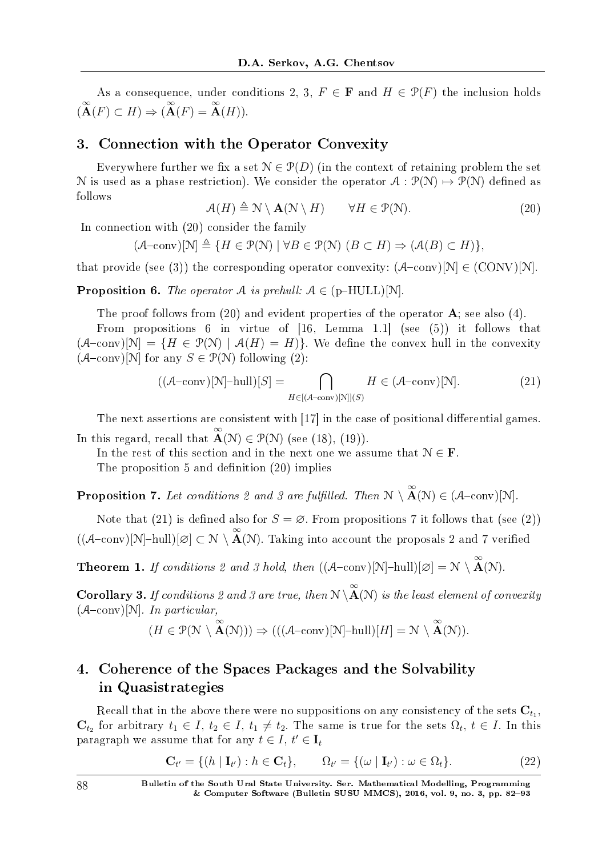As a consequence, under conditions 2, 3,  $F \in \mathbf{F}$  and  $H \in \mathcal{P}(F)$  the inclusion holds  $(\stackrel{\infty}{\mathbf{A}}(F) \subset H) \Rightarrow (\stackrel{\infty}{\mathbf{A}}(F) = \stackrel{\infty}{\mathbf{A}}(H)).$ 

## 3. Connection with the Operator Convexity

Everywhere further we fix a set  $\mathcal{N} \in \mathcal{P}(D)$  (in the context of retaining problem the set N is used as a phase restriction). We consider the operator  $A : \mathcal{P}(\mathcal{N}) \mapsto \mathcal{P}(\mathcal{N})$  defined as follows

$$
\mathcal{A}(H) \triangleq \mathcal{N} \setminus \mathbf{A}(\mathcal{N} \setminus H) \qquad \forall H \in \mathcal{P}(\mathcal{N}). \tag{20}
$$

In connection with (20) consider the family

 $(A\text{-conv})[N] \triangleq \{H \in \mathcal{P}(N) \mid \forall B \in \mathcal{P}(N) \ (B \subset H) \Rightarrow (\mathcal{A}(B) \subset H)\},\$ 

that provide (see (3)) the corresponding operator convexity:  $(A-\text{conv})[N] \in (CONV)[N]$ .

**Proposition 6.** The operator A is prehull:  $A \in (p-HULL)[N]$ .

The proof follows from (20) and evident properties of the operator **A**; see also (4).

From propositions 6 in virtue of  $[16, \text{ Lemma } 1.1]$  (see (5)) it follows that  $(A\text{-conv})[N] = \{H \in \mathcal{P}(N) \mid A(H) = H\}$ . We define the convex hull in the convexity  $(A$ -conv)[N] for any  $S \in \mathcal{P}(\mathcal{N})$  following (2):

$$
((\mathcal{A}-\text{conv})[N]-\text{hull})[S] = \bigcap_{H \in [(\mathcal{A}-\text{conv})[N]](S)} H \in (\mathcal{A}-\text{conv})[N].
$$
\n(21)

The next assertions are consistent with  $[17]$  in the case of positional differential games. In this regard, recall that  $\mathbf{\tilde{A}}(\mathcal{N}) \in \mathcal{P}(\mathcal{N})$  (see (18), (19)).

In the rest of this section and in the next one we assume that  $\mathcal{N} \in \mathbf{F}$ .

The proposition  $5$  and definition  $(20)$  implies

**Proposition 7.** Let conditions 2 and 3 are fulfilled. Then  $N \setminus \stackrel{\infty}{A}(N) \in (A-\text{conv})[N]$ .

Note that (21) is defined also for  $S = \emptyset$ . From propositions 7 it follows that (see (2))  $((\mathcal{A}-conv)[N]\text{-}\text{hull})[\varnothing] \subset \mathcal{N} \setminus \overset{\infty}{A}(\mathcal{N})$ . Taking into account the proposals 2 and 7 verified

**Theorem 1.** If conditions 2 and 3 hold, then  $((\mathcal{A}-conv)[N]-hull)[\varnothing] = \mathcal{N} \setminus \overset{\infty}{A}(\mathcal{N}).$ 

**Corollary 3.** If conditions 2 and 3 are true, then  $N \setminus \stackrel{\infty}{A}(N)$  is the least element of convexity  $(A-\text{conv})[\mathcal{N}]$ . In particular,

$$
(H \in \mathcal{P}(\mathcal{N} \setminus \overset{\infty}{\mathbf{A}}(\mathcal{N}))) \Rightarrow (((\mathcal{A}-\text{conv})[\mathcal{N}]-\text{hull})[H] = \mathcal{N} \setminus \overset{\infty}{\mathbf{A}}(\mathcal{N})).
$$

# 4. Coherence of the Spaces Packages and the Solvability in Quasistrategies

Recall that in the above there were no suppositions on any consistency of the sets  $\mathbf{C}_{t_1},$  $\mathbf{C}_{t_2}$  for arbitrary  $t_1 \in I$ ,  $t_2 \in I$ ,  $t_1 \neq t_2$ . The same is true for the sets  $\Omega_t$ ,  $t \in I$ . In this paragraph we assume that for any  $t \in I$ ,  $t' \in I$ <sub>*t*</sub>

$$
\mathbf{C}_{t'} = \{ (h \mid \mathbf{I}_{t'}) : h \in \mathbf{C}_t \}, \qquad \Omega_{t'} = \{ (\omega \mid \mathbf{I}_{t'}) : \omega \in \Omega_t \}. \tag{22}
$$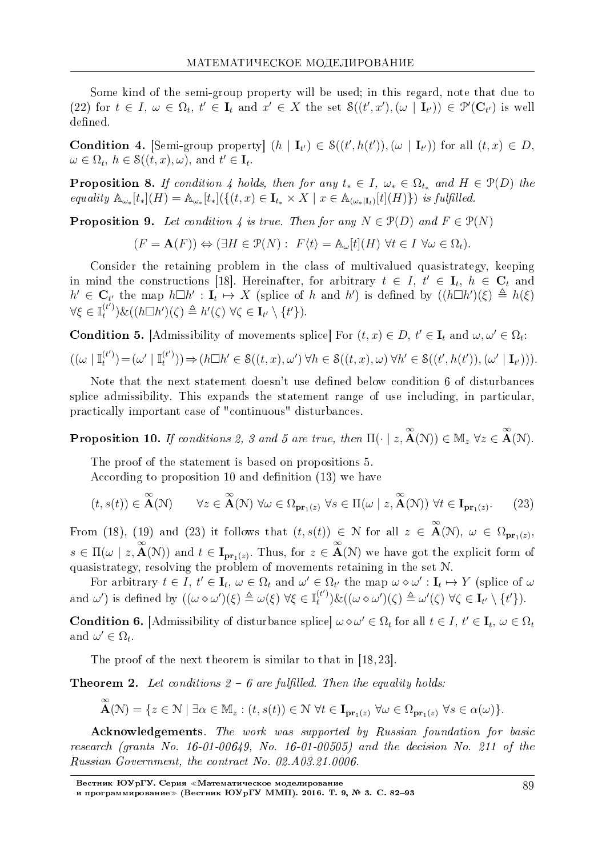Some kind of the semi-group property will be used; in this regard, note that due to (22) for  $t \in I$ ,  $\omega \in \Omega_t$ ,  $t' \in I_t$  and  $x' \in X$  the set  $\mathcal{S}((t',x'),(\omega | I_{t'}) ) \in \mathcal{P}'(\mathbf{C}_{t'})$  is well defined.

**Condition 4.** [Semi-group property]  $(h | \mathbf{I}_{t}) \in S((t', h(t')), (\omega | \mathbf{I}_{t'}))$  for all  $(t, x) \in D$ ,  $\omega \in \Omega_t$ ,  $h \in \mathcal{S}((t, x), \omega)$ , and  $t' \in \mathbf{I}_t$ .

**Proposition 8.** If condition 4 holds, then for any  $t_* \in I$ ,  $\omega_* \in \Omega_{t_*}$  and  $H \in \mathcal{P}(D)$  the equality  $\mathbb{A}_{\omega_*}[t_*](H) = \mathbb{A}_{\omega_*}[t_*](\{(t,x) \in \mathbf{I}_{t_*} \times X \mid x \in \mathbb{A}_{(\omega_*|\mathbf{I}_t)}[t](H)\})$  is fulfilled.

**Proposition 9.** Let condition 4 is true. Then for any  $N \in \mathcal{P}(D)$  and  $F \in \mathcal{P}(N)$ 

$$
(F = \mathbf{A}(F)) \Leftrightarrow (\exists H \in \mathcal{P}(N): \ F\langle t \rangle = \mathbb{A}_{\omega}[t](H) \ \forall t \in I \ \forall \omega \in \Omega_t).
$$

Consider the retaining problem in the class of multivalued quasistrategy, keeping in mind the constructions [18]. Hereinafter, for arbitrary  $t \in I$ ,  $t' \in I_t$ ,  $h \in C_t$  and  $h' \in \mathbf{C}_{t'}$  the map  $h \Box h' : \mathbf{I}_t \mapsto X$  (splice of h and h') is defined by  $((h \Box h')(\xi) \triangleq h(\xi))$  $\forall \xi \in \mathbb{I}_t^{(t')}$  $\mathcal{E}_t^{(r)}(\mathcal{E}_t^{(r)})\&((h\Box h')(\zeta) \triangleq h'(\zeta) \,\forall \zeta \in \mathbf{I}_{t'} \setminus \{t'\}).$ 

**Condition 5.** [Admissibility of movements splice] For  $(t, x) \in D$ ,  $t' \in I_t$  and  $\omega, \omega' \in \Omega_t$ :  $((\omega \mid \mathbb{I}^{(t')}_{t})$  $\binom{t'}{t}$  =  $(\omega' \mid \mathbb{I}^{(t')}_t)$  $(\mathcal{C}_{t}^{(t)})\rightarrow(h\Box h'\in\mathcal{S}((t,x),\omega')\,\forall h\in\mathcal{S}((t,x),\omega)\,\forall h'\in\mathcal{S}((t',h(t')),(\omega'\mid\mathbf{I}_{t'}))).$ 

Note that the next statement doesn't use defined below condition 6 of disturbances splice admissibility. This expands the statement range of use including, in particular, practically important case of "continuous" disturbances.

**Proposition 10.** If conditions 2, 3 and 5 are true, then  $\Pi(\cdot | z, \mathbf{A}(\mathcal{N})) \in \mathbb{M}_z \ \forall z \in \mathbf{A}(\mathcal{N})$ .

The proof of the statement is based on propositions 5.

According to proposition 10 and definition  $(13)$  we have

$$
(t, s(t)) \in \mathbf{A}(\mathcal{N}) \qquad \forall z \in \mathbf{A}(\mathcal{N}) \ \forall \omega \in \Omega_{\mathbf{pr}_1(z)} \ \forall s \in \Pi(\omega \mid z, \mathbf{A}(\mathcal{N})) \ \forall t \in \mathbf{I}_{\mathbf{pr}_1(z)}.\tag{23}
$$

From (18), (19) and (23) it follows that  $(t, s(t)) \in \mathcal{N}$  for all  $z \in \mathbf{A}(\mathcal{N})$ ,  $\omega \in \Omega_{\mathbf{pr}_1(z)}$ ,  $s \in \Pi(\omega \mid z, \mathbf{A}(\mathcal{N}))$  and  $t \in \mathbf{I}_{\mathbf{pr}_1(z)}$ . Thus, for  $z \in \mathbf{A}(\mathcal{N})$  we have got the explicit form of quasistrategy, resolving the problem of movements retaining in the set N.

For arbitrary  $t \in I$ ,  $t' \in I_t$ ,  $\omega \in \Omega_t$  and  $\omega' \in \Omega_{t'}$  the map  $\omega \diamond \omega' : I_t \mapsto Y$  (splice of  $\omega$ and  $\omega'$ ) is defined by  $((\omega \diamond \omega')(\xi) \triangleq \omega(\xi) \; \forall \xi \in \mathbb{I}_t^{(t')}$  $\omega'(x) = \omega'(x)$  ,  $\forall x \in I$ <sub>*t'*</sub>  $\setminus \{t'\}$ ).

**Condition 6.** [Admissibility of disturbance splice]  $\omega \diamond \omega' \in \Omega_t$  for all  $t \in I, t' \in I_t, \omega \in \Omega_t$ and  $\omega' \in \Omega_t$ .

The proof of the next theorem is similar to that in [18, 23].

**Theorem 2.** Let conditions  $2 - 6$  are fulfilled. Then the equality holds:

$$
\overset{\infty}{\mathbf{A}}(\mathcal{N}) = \{ z \in \mathcal{N} \mid \exists \alpha \in \mathbb{M}_z : (t, s(t)) \in \mathcal{N} \,\,\forall t \in \mathbf{I}_{\mathbf{pr}_1(z)} \,\,\forall \omega \in \Omega_{\mathbf{pr}_1(z)} \,\,\forall s \in \alpha(\omega) \}.
$$

Acknowledgements. The work was supported by Russian foundation for basic research (grants No. 16-01-00649, No. 16-01-00505) and the decision No. 211 of the Russian Government, the contract No. 02.A03.21.0006.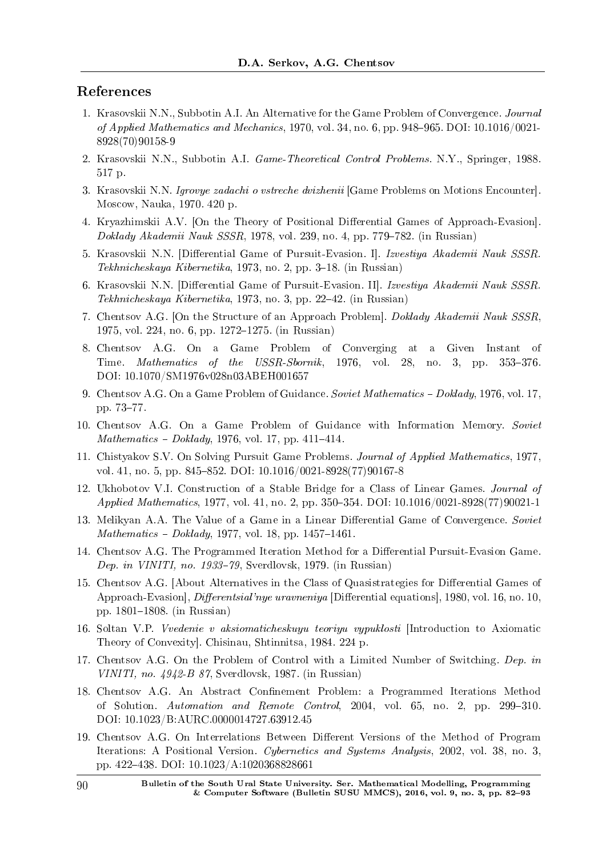## References

- 1. Krasovskii N.N., Subbotin A.I. An Alternative for the Game Problem of Convergence. Journal of Applied Mathematics and Mechanics, 1970, vol. 34, no. 6, pp. 948-965. DOI:  $10.1016/0021$ -8928(70)90158-9
- 2. Krasovskii N.N., Subbotin A.I. Game-Theoretical Control Problems. N.Y., Springer, 1988. 517 p.
- 3. Krasovskii N.N. Igrovye zadachi o vstreche dvizhenii [Game Problems on Motions Encounter]. Moscow, Nauka, 1970. 420 p.
- 4. Kryazhimskii A.V. [On the Theory of Positional Differential Games of Approach-Evasion]. Doklady Akademii Nauk SSSR, 1978, vol. 239, no. 4, pp. 779-782. (in Russian)
- 5. Krasovskii N.N. [Differential Game of Pursuit-Evasion. I]. Izvestiya Akademii Nauk SSSR.  $Tekhnicheskaya Kibernetika, 1973, no. 2, pp. 3–18. (in Russian)$
- 6. Krasovskii N.N. [Differential Game of Pursuit-Evasion. II]. *Izvestiya Akademii Nauk SSSR.*  $Tekhnicheskaya Kibernetika, 1973, no. 3, pp. 22-42. (in Russian)$
- 7. Chentsov A.G. [On the Structure of an Approach Problem]. Doklady Akademii Nauk SSSR, 1975, vol. 224, no. 6, pp. 1272–1275. (in Russian)
- 8. Chentsov A.G. On a Game Problem of Converging at a Given Instant of Time. *Mathematics of the USSR-Sbornik*, 1976, vol. 28, no. 3, pp.  $353-376$ . DOI: 10.1070/SM1976v028n03ABEH001657
- 9. Chentsov A.G. On a Game Problem of Guidance. Soviet Mathematics Doklady, 1976, vol. 17, pp. 73–77.
- 10. Chentsov A.G. On a Game Problem of Guidance with Information Memory. Soviet  $Mathematics - Doklady, 1976, vol. 17, pp. 411–414.$
- 11. Chistyakov S.V. On Solving Pursuit Game Problems. Journal of Applied Mathematics, 1977, vol. 41, no. 5, pp. 845–852. DOI: 10.1016/0021-8928(77)90167-8
- 12. Ukhobotov V.I. Construction of a Stable Bridge for a Class of Linear Games. Journal of Applied Mathematics, 1977, vol. 41, no. 2, pp. 350–354. DOI: 10.1016/0021-8928(77)90021-1
- 13. Melikyan A.A. The Value of a Game in a Linear Differential Game of Convergence. Soviet  $Mathematics - Doklady, 1977, vol. 18, pp. 1457-1461.$
- 14. Chentsov A.G. The Programmed Iteration Method for a Differential Pursuit-Evasion Game. Dep. in VINITI, no. 1933–79, Sverdlovsk, 1979. (in Russian)
- 15. Chentsov A.G. [About Alternatives in the Class of Quasistrategies for Differential Games of Approach-Evasion], *Differentsial'nye uravneniya* [Differential equations], 1980, vol. 16, no. 10, pp.  $1801-1808$ . (in Russian)
- 16. Soltan V.P. Vvedenie v aksiomaticheskuyu teoriyu vypuklosti [Introduction to Axiomatic Theory of Convexity]. Chisinau, Shtinnitsa, 1984. 224 p.
- 17. Chentsov A.G. On the Problem of Control with a Limited Number of Switching. Dep. in VINITI, no.  $4942-B$  87, Sverdlovsk, 1987. (in Russian)
- 18. Chentsov A.G. An Abstract Confinement Problem: a Programmed Iterations Method of Solution. Automation and Remote Control, 2004, vol. 65, no. 2, pp. 299-310. DOI: 10.1023/B:AURC.0000014727.63912.45
- 19. Chentsov A.G. On Interrelations Between Different Versions of the Method of Program Iterations: A Positional Version. Cybernetics and Systems Analysis, 2002, vol. 38, no. 3, pp. 422438. DOI: 10.1023/A:1020368828661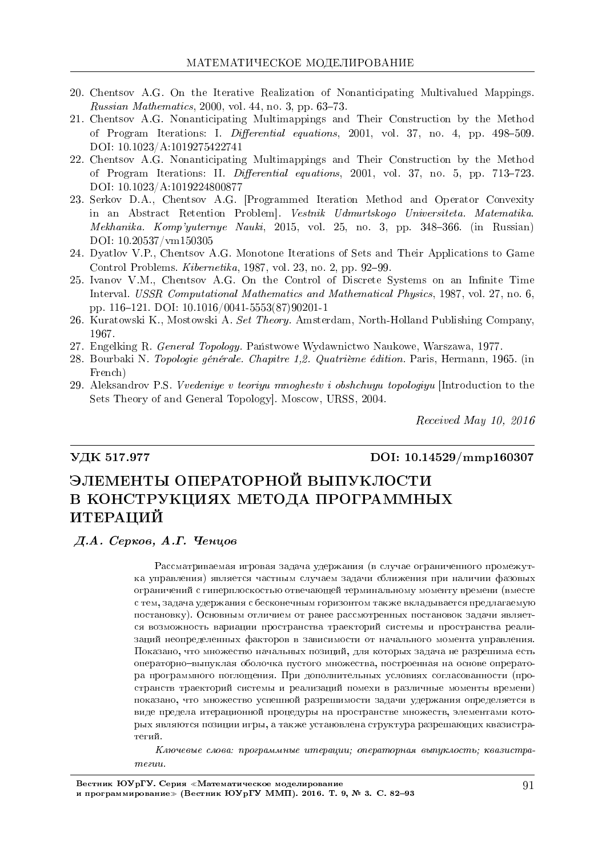- 20. Chentsov A.G. On the Iterative Realization of Nonanticipating Multivalued Mappings. Russian Mathematics,  $2000$ , vol. 44, no. 3, pp. 63-73.
- 21. Chentsov A.G. Nonanticipating Multimappings and Their Construction by the Method of Program Iterations: I. Differential equations, 2001, vol. 37, no. 4, pp. 498-509. DOI: 10.1023/A:1019275422741
- 22. Chentsov A.G. Nonanticipating Multimappings and Their Construction by the Method of Program Iterations: II. *Differential equations*, 2001, vol. 37, no. 5, pp. 713–723. DOI: 10.1023/A:1019224800877
- 23. Serkov D.A., Chentsov A.G. [Programmed Iteration Method and Operator Convexity in an Abstract Retention Problem]. Vestnik Udmurtskogo Universiteta. Matematika.  $Mekhanika$ . Komp'yuternye Nauki, 2015, vol. 25, no. 3, pp. 348–366. (in Russian) DOI: 10.20537/vm150305
- 24. Dyatlov V.P., Chentsov A.G. Monotone Iterations of Sets and Their Applications to Game Control Problems.  $Kibernetika$ , 1987, vol. 23, no. 2, pp. 92-99.
- 25. Ivanov V.M., Chentsov A.G. On the Control of Discrete Systems on an Innite Time Interval. USSR Computational Mathematics and Mathematical Physics, 1987, vol. 27, no. 6, pp. 116121. DOI: 10.1016/0041-5553(87)90201-1
- 26. Kuratowski K., Mostowski A. Set Theory. Amsterdam, North-Holland Publishing Company, 1967.
- 27. Engelking R. General Topology. Państwowe Wydawnictwo Naukowe, Warszawa, 1977.
- 28. Bourbaki N. Topologie générale. Chapitre 1,2. Quatrième édition. Paris, Hermann, 1965. (in French)
- 29. Aleksandrov P.S. Vvedeniye v teoriyu mnoghestv i obshchuyu topologiyu [Introduction to the Sets Theory of and General Topology]. Moscow, URSS, 2004.

Received May 10, 2016

#### VДК 517.977 DOI: 10.14529/mmp160307

# ЭЛЕМЕНТЫ ОПЕРАТОРНОЙ ВЫПУКЛОСТИ В КОНСТРУКЦИЯХ МЕТОДА ПРОГРАММНЫХ ИТЕРАЦИЙ

#### $\mathcal{A}$ .  $\mathcal{A}$ .  $\mathcal{C}$ ерков, А.Г. Ченцов

Рассматриваемая игровая задача удержания (в случае ограниченного промежутка управления) является частным случаем задачи сближения при наличии фазовых ограничений с гиперплоскостью отвечающей терминальному моменту времени (вместе с тем, задача удержания с бесконечным горизонтом также вкладывается предлагаемую постановку). Основным отличием от ранее рассмотренных постановок задачи является возможность вариации пространства траекторий системы и пространства реализаций неопределенных факторов в зависимости от начального момента управления. Показано, что множество начальных позиций, для которых задача не разрешима есть операторно-выпуклая оболочка пустого множества, построенная на основе опрератора программного поглошения. При дополнительных условиях согласованности (пространств траекторий системы и реализаций помехи в различные моменты времени) показано, что множество успешной разрешимости задачи удержания определяется в виде предела итерационной процедуры на пространстве множеств, элементами которых являются позиции игры, а также установлена структура разрешающих квазистратегий.

 $K$ лючевые слова: программные итерации; операторная выпуклость; квазистраmezuu.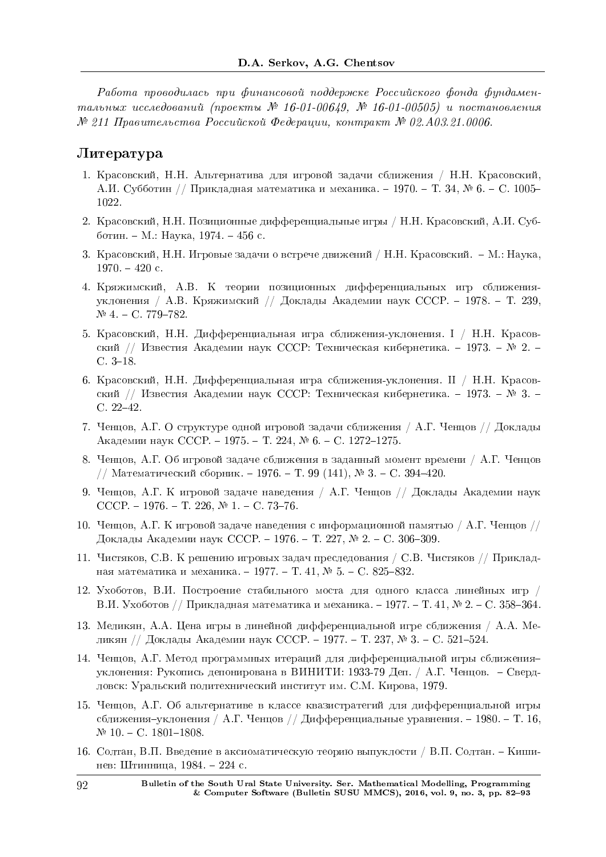Работа проводилась при финансовой поддержке Российского фонда фундаментальных исследований (проекты № 16-01-00649, № 16-01-00505) и постановления  $N^2$  211 Правительства Российской Федерации, контракт  $N^2$  02.A03.21.0006.

#### $J$ итература

- 1. Красовский, Н.Н. Альтернатива для игровой задачи сближения / Н.Н. Красовский, А.И. Субботин // Прикладная математика и механика. - 1970. – Т. 34, № 6. - С. 1005-1022.
- 2. Красовский, Н.Н. Позиционные дифференциальные игры / Н.Н. Красовский, А.И. Субботин. – М.: Наука, 1974. – 456 с.
- 3. Красовский, Н.Н. Игровые задачи о встрече движений / Н.Н. Красовский. М.: Наука,  $1970. - 420$  c.
- 4. Кряжимский, А.В. К теории позиционных дифференциальных игр сближенияуклонения / А.В. Кряжимский // Доклады Академии наук СССР. - 1978. - Т. 239,  $N<sup>°</sup>$  4 - C. 779-782.
- 5. Красовский, Н.Н. Дифференциальная игра сближения-уклонения. I / Н.Н. Красовский // Известия Академии наук СССР: Техническая кибернетика. - 1973. – № 2. - $C. 3-18.$
- 6. Красовский, Н.Н. Дифференциальная игра сближения-уклонения. II / Н.Н. Красовский // Известия Академии наук СССР: Техническая кибернетика. - 1973. – № 3. - $C. 22-42.$
- 7. Ченцов, А.Г. О структуре одной игровой задачи сближения / А.Г. Ченцов // Доклады Академии наук СССР. - 1975. - Т. 224, № 6. - С. 1272-1275.
- 8. Ченцов, А.Г. Об игровой задаче сближения в заданный момент времени / А.Г. Ченцов // Математический сборник. - 1976. - Т. 99 (141),  $\mathbb{N}^2$  3. - С. 394-420.
- 9. Ченцов, А.Г. К игровой задаче наведения / А.Г. Ченцов // Доклады Академии наук CCCP. - 1976. - T. 226,  $N_2$  1. - C. 73-76.
- 10. Ченцов, А.Г. К игровой задаче наведения с информационной памятью / А.Г. Ченцов // Доклады Академии наук СССР. – 1976. – Т. 227, № 2. – С. 306–309.
- 11. Чистяков, С.В. К решению игровых задач преследования / С.В. Чистяков // Прикладная математика и механика. - 1977. – Т. 41,  $\mathbb{N}^{\circ}$ 5. – С. 825-832.
- 12. Ухоботов, В.И. Построение стабильного моста для одного класса линейных игр / В.И. Ухоботов // Прикладная математика и механика. – 1977. – Т. 41, № 2. – С. 358–364.
- 13. Меликян, А.А. Цена игры в линейной дифференциальной игре сближения / А.А. Меликян // Доклады Академии наук СССР. - 1977. – Т. 237, № 3. - С. 521-524.
- 14. Ченцов, А.Г. Метод программных итераций для дифференциальной игры сближенияуклонения: Рукопись депонирована в ВИНИТИ: 1933-79 Деп. / А.Г. Ченцов. – Свердловск: Уральский политехнический институт им. С.М. Кирова, 1979.
- 15. Ченцов, А.Г. Об альтернативе в классе квазистратегий для дифференциальной игры сближения–уклонения / А.Г. Ченцов // Дифференциальные уравнения. – 1980. – Т. 16,  $N<sup>o</sup>$  10. - C. 1801-1808.
- 16. Солтан, В.П. Введение в аксиоматическую теорию выпуклости / В.П. Солтан. Кишинев: Штинница, 1984. – 224 с.